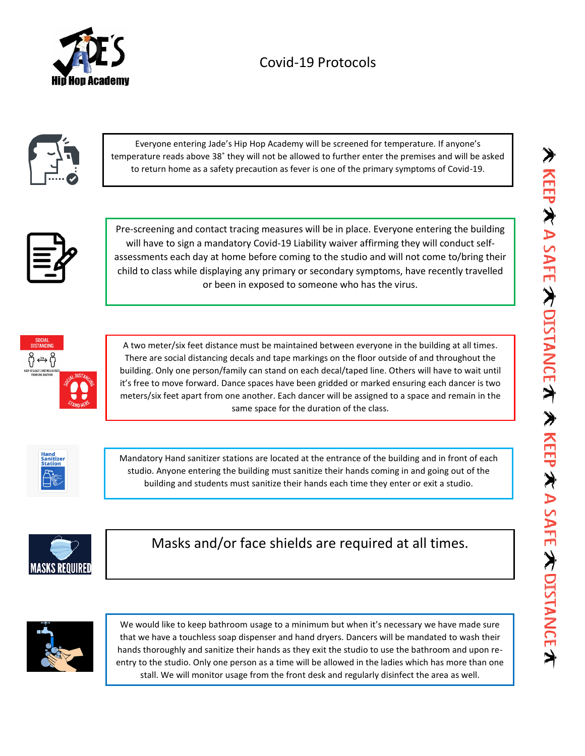



| Everyone entering Jade's Hip Hop Academy will be screened for temperature. If anyone's               |
|------------------------------------------------------------------------------------------------------|
| temperature reads above 38° they will not be allowed to further enter the premises and will be asked |
| to return home as a safety precaution as fever is one of the primary symptoms of Covid-19.           |



Pre-screening and contact tracing measures will be in place. Everyone entering the building will have to sign a mandatory Covid-19 Liability waiver affirming they will conduct selfassessments each day at home before coming to the studio and will not come to/bring their child to class while displaying any primary or secondary symptoms, have recently travelled or been in exposed to someone who has the virus.



A two meter/six feet distance must be maintained between everyone in the building at all times. There are social distancing decals and tape markings on the floor outside of and throughout the building. Only one person/family can stand on each decal/taped line. Others will have to wait until it's free to move forward. Dance spaces have been gridded or marked ensuring each dancer is two meters/six feet apart from one another. Each dancer will be assigned to a space and remain in the same space for the duration of the class.



Mandatory Hand sanitizer stations are located at the entrance of the building and in front of each studio. Anyone entering the building must sanitize their hands coming in and going out of the building and students must sanitize their hands each time they enter or exit a studio.



Masks and/or face shields are required at all times.



We would like to keep bathroom usage to a minimum but when it's necessary we have made sure that we have a touchless soap dispenser and hand dryers. Dancers will be mandated to wash their hands thoroughly and sanitize their hands as they exit the studio to use the bathroom and upon reentry to the studio. Only one person as a time will be allowed in the ladies which has more than one stall. We will monitor usage from the front desk and regularly disinfect the area as well.